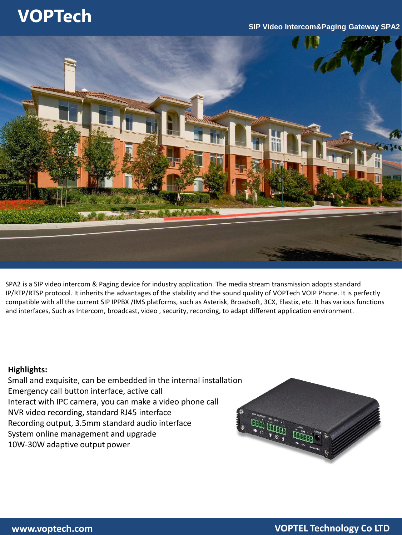# **VOPTech**

### **SIP Video Intercom&Paging Gateway SPA2**



SPA2 is a SIP video intercom & Paging device for industry application. The media stream transmission adopts standard IP/RTP/RTSP protocol. It inherits the advantages of the stability and the sound quality of VOPTech VOIP Phone. It is perfectly compatible with all the current SIP IPPBX /IMS platforms, such as Asterisk, Broadsoft, 3CX, Elastix, etc. It has various functions and interfaces, Such as Intercom, broadcast, video , security, recording, to adapt different application environment.

### **Highlights:**

Small and exquisite, can be embedded in the internal installation Emergency call button interface, active call Interact with IPC camera, you can make a video phone call NVR video recording, standard RJ45 interface Recording output, 3.5mm standard audio interface System online management and upgrade 10W-30W adaptive output power